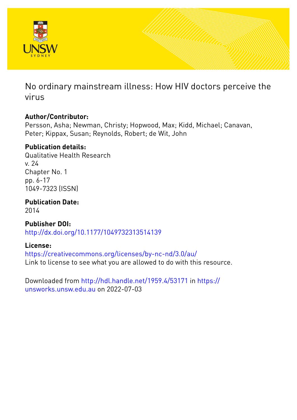

No ordinary mainstream illness: How HIV doctors perceive the virus

## **Author/Contributor:**

Persson, Asha; Newman, Christy; Hopwood, Max; Kidd, Michael; Canavan, Peter; Kippax, Susan; Reynolds, Robert; de Wit, John

# **Publication details:**

Qualitative Health Research v. 24 Chapter No. 1 pp. 6-17 1049-7323 (ISSN)

**Publication Date:** 2014

**Publisher DOI:** [http://dx.doi.org/10.1177/1049732313514139](http://dx.doi.org/http://dx.doi.org/10.1177/1049732313514139)

## **License:**

<https://creativecommons.org/licenses/by-nc-nd/3.0/au/> Link to license to see what you are allowed to do with this resource.

Downloaded from <http://hdl.handle.net/1959.4/53171> in [https://](https://unsworks.unsw.edu.au) [unsworks.unsw.edu.au](https://unsworks.unsw.edu.au) on 2022-07-03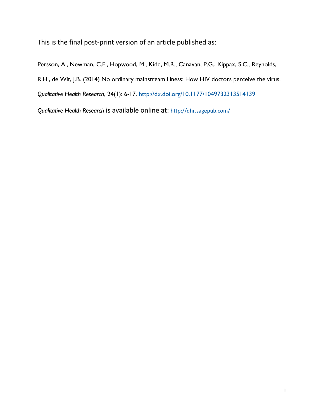This is the final post-print version of an article published as:

Persson, A., Newman, C.E., Hopwood, M., Kidd, M.R., Canavan, P.G., Kippax, S.C., Reynolds, R.H., de Wit, J.B. (2014) No ordinary mainstream illness: How HIV doctors perceive the virus. *Qualitative Health Research*, 24(1): 6-17.<http://dx.doi.org/10.1177/1049732313514139> *Qualitative Health Research* is available online at: <http://qhr.sagepub.com/>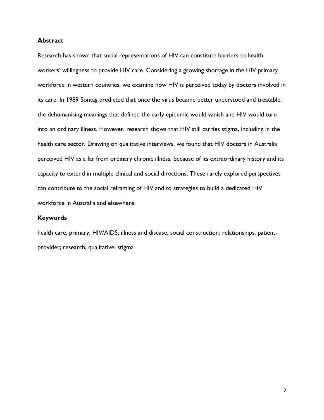### **Abstract**

Research has shown that social representations of HIV can constitute barriers to health workers' willingness to provide HIV care. Considering a growing shortage in the HIV primary workforce in western countries, we examine how HIV is perceived today by doctors involved in its care. In 1989 Sontag predicted that once the virus became better understood and treatable, the dehumanising meanings that defined the early epidemic would vanish and HIV would turn into an ordinary illness. However, research shows that HIV still carries stigma, including in the health care sector. Drawing on qualitative interviews, we found that HIV doctors in Australia perceived HIV as a far from ordinary chronic illness, because of its extraordinary history and its capacity to extend in multiple clinical and social directions. These rarely explored perspectives can contribute to the social reframing of HIV and to strategies to build a dedicated HIV workforce in Australia and elsewhere.

#### **Keywords**

health care, primary; HIV/AIDS; illness and disease, social construction; relationships, patientprovider; research, qualitative; stigma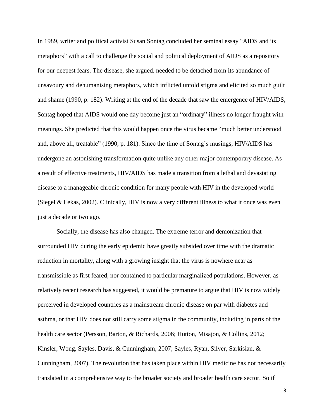In 1989, writer and political activist Susan Sontag concluded her seminal essay "AIDS and its metaphors" with a call to challenge the social and political deployment of AIDS as a repository for our deepest fears. The disease, she argued, needed to be detached from its abundance of unsavoury and dehumanising metaphors, which inflicted untold stigma and elicited so much guilt and shame (1990, p. 182). Writing at the end of the decade that saw the emergence of HIV/AIDS, Sontag hoped that AIDS would one day become just an "ordinary" illness no longer fraught with meanings. She predicted that this would happen once the virus became "much better understood and, above all, treatable" (1990, p. 181). Since the time of Sontag's musings, HIV/AIDS has undergone an astonishing transformation quite unlike any other major contemporary disease. As a result of effective treatments, HIV/AIDS has made a transition from a lethal and devastating disease to a manageable chronic condition for many people with HIV in the developed world (Siegel & Lekas, 2002). Clinically, HIV is now a very different illness to what it once was even just a decade or two ago.

Socially, the disease has also changed. The extreme terror and demonization that surrounded HIV during the early epidemic have greatly subsided over time with the dramatic reduction in mortality, along with a growing insight that the virus is nowhere near as transmissible as first feared, nor contained to particular marginalized populations. However, as relatively recent research has suggested, it would be premature to argue that HIV is now widely perceived in developed countries as a mainstream chronic disease on par with diabetes and asthma, or that HIV does not still carry some stigma in the community, including in parts of the health care sector (Persson, Barton, & Richards, 2006; Hutton, Misajon, & Collins, 2012; Kinsler, Wong, Sayles, Davis, & Cunningham, 2007; Sayles, Ryan, Silver, Sarkisian, & Cunningham, 2007). The revolution that has taken place within HIV medicine has not necessarily translated in a comprehensive way to the broader society and broader health care sector. So if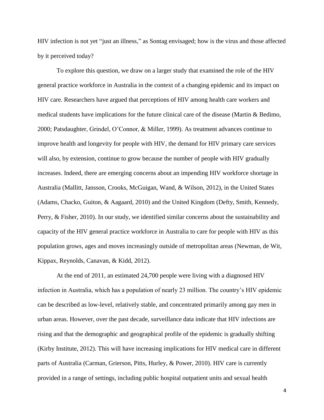HIV infection is not yet "just an illness," as Sontag envisaged; how is the virus and those affected by it perceived today?

To explore this question, we draw on a larger study that examined the role of the HIV general practice workforce in Australia in the context of a changing epidemic and its impact on HIV care. Researchers have argued that perceptions of HIV among health care workers and medical students have implications for the future clinical care of the disease (Martin & Bedimo, 2000; Patsdaughter, Grindel, O'Connor, & Miller, 1999). As treatment advances continue to improve health and longevity for people with HIV, the demand for HIV primary care services will also, by extension, continue to grow because the number of people with HIV gradually increases. Indeed, there are emerging concerns about an impending HIV workforce shortage in Australia (Mallitt, Jansson, Crooks, McGuigan, Wand, & Wilson, 2012), in the United States (Adams, Chacko, Guiton, & Aagaard, 2010) and the United Kingdom (Defty, Smith, Kennedy, Perry, & Fisher, 2010). In our study, we identified similar concerns about the sustainability and capacity of the HIV general practice workforce in Australia to care for people with HIV as this population grows, ages and moves increasingly outside of metropolitan areas (Newman, de Wit, Kippax, Reynolds, Canavan, & Kidd, 2012).

At the end of 2011, an estimated 24,700 people were living with a diagnosed HIV infection in Australia, which has a population of nearly 23 million. The country's HIV epidemic can be described as low-level, relatively stable, and concentrated primarily among gay men in urban areas. However, over the past decade, surveillance data indicate that HIV infections are rising and that the demographic and geographical profile of the epidemic is gradually shifting (Kirby Institute, 2012). This will have increasing implications for HIV medical care in different parts of Australia (Carman, Grierson, Pitts, Hurley, & Power, 2010). HIV care is currently provided in a range of settings, including public hospital outpatient units and sexual health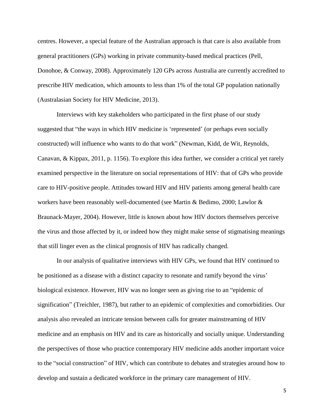centres. However, a special feature of the Australian approach is that care is also available from general practitioners (GPs) working in private community-based medical practices (Pell, Donohoe, & Conway, 2008). Approximately 120 GPs across Australia are currently accredited to prescribe HIV medication, which amounts to less than 1% of the total GP population nationally (Australasian Society for HIV Medicine, 2013).

Interviews with key stakeholders who participated in the first phase of our study suggested that "the ways in which HIV medicine is 'represented' (or perhaps even socially constructed) will influence who wants to do that work" (Newman, Kidd, de Wit, Reynolds, Canavan, & Kippax, 2011, p. 1156). To explore this idea further, we consider a critical yet rarely examined perspective in the literature on social representations of HIV: that of GPs who provide care to HIV-positive people. Attitudes toward HIV and HIV patients among general health care workers have been reasonably well-documented (see Martin & Bedimo, 2000; Lawlor & Braunack-Mayer, 2004). However, little is known about how HIV doctors themselves perceive the virus and those affected by it, or indeed how they might make sense of stigmatising meanings that still linger even as the clinical prognosis of HIV has radically changed.

In our analysis of qualitative interviews with HIV GPs, we found that HIV continued to be positioned as a disease with a distinct capacity to resonate and ramify beyond the virus' biological existence. However, HIV was no longer seen as giving rise to an "epidemic of signification" (Treichler, 1987), but rather to an epidemic of complexities and comorbidities. Our analysis also revealed an intricate tension between calls for greater mainstreaming of HIV medicine and an emphasis on HIV and its care as historically and socially unique. Understanding the perspectives of those who practice contemporary HIV medicine adds another important voice to the "social construction" of HIV, which can contribute to debates and strategies around how to develop and sustain a dedicated workforce in the primary care management of HIV.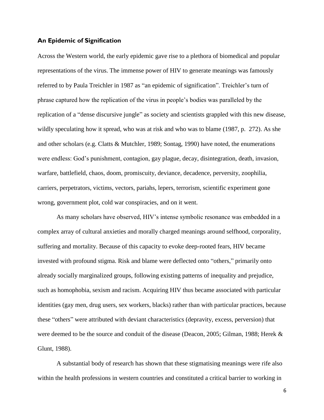#### **An Epidemic of Signification**

Across the Western world, the early epidemic gave rise to a plethora of biomedical and popular representations of the virus. The immense power of HIV to generate meanings was famously referred to by Paula Treichler in 1987 as "an epidemic of signification". Treichler's turn of phrase captured how the replication of the virus in people's bodies was paralleled by the replication of a "dense discursive jungle" as society and scientists grappled with this new disease, wildly speculating how it spread, who was at risk and who was to blame (1987, p. 272). As she and other scholars (e.g. Clatts & Mutchler, 1989; Sontag, 1990) have noted, the enumerations were endless: God's punishment, contagion, gay plague, decay, disintegration, death, invasion, warfare, battlefield, chaos, doom, promiscuity, deviance, decadence, perversity, zoophilia, carriers, perpetrators, victims, vectors, pariahs, lepers, terrorism, scientific experiment gone wrong, government plot, cold war conspiracies, and on it went.

As many scholars have observed, HIV's intense symbolic resonance was embedded in a complex array of cultural anxieties and morally charged meanings around selfhood, corporality, suffering and mortality. Because of this capacity to evoke deep-rooted fears, HIV became invested with profound stigma. Risk and blame were deflected onto "others," primarily onto already socially marginalized groups, following existing patterns of inequality and prejudice, such as homophobia, sexism and racism. Acquiring HIV thus became associated with particular identities (gay men, drug users, sex workers, blacks) rather than with particular practices, because these "others" were attributed with deviant characteristics (depravity, excess, perversion) that were deemed to be the source and conduit of the disease (Deacon, 2005; Gilman, 1988; Herek & Glunt, 1988).

A substantial body of research has shown that these stigmatising meanings were rife also within the health professions in western countries and constituted a critical barrier to working in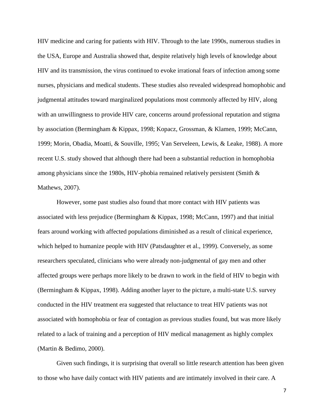HIV medicine and caring for patients with HIV. Through to the late 1990s, numerous studies in the USA, Europe and Australia showed that, despite relatively high levels of knowledge about HIV and its transmission, the virus continued to evoke irrational fears of infection among some nurses, physicians and medical students. These studies also revealed widespread homophobic and judgmental attitudes toward marginalized populations most commonly affected by HIV, along with an unwillingness to provide HIV care, concerns around professional reputation and stigma by association (Bermingham & Kippax, 1998; Kopacz, Grossman, & Klamen, 1999; McCann, 1999; Morin, Obadia, Moatti, & Souville, 1995; Van Serveleen, Lewis, & Leake, 1988). A more recent U.S. study showed that although there had been a substantial reduction in homophobia among physicians since the 1980s, HIV-phobia remained relatively persistent (Smith & Mathews, 2007).

However, some past studies also found that more contact with HIV patients was associated with less prejudice (Bermingham & Kippax, 1998; McCann, 1997) and that initial fears around working with affected populations diminished as a result of clinical experience, which helped to humanize people with HIV (Patsdaughter et al., 1999). Conversely, as some researchers speculated, clinicians who were already non-judgmental of gay men and other affected groups were perhaps more likely to be drawn to work in the field of HIV to begin with (Bermingham & Kippax, 1998). Adding another layer to the picture, a multi-state U.S. survey conducted in the HIV treatment era suggested that reluctance to treat HIV patients was not associated with homophobia or fear of contagion as previous studies found, but was more likely related to a lack of training and a perception of HIV medical management as highly complex (Martin & Bedimo, 2000).

Given such findings, it is surprising that overall so little research attention has been given to those who have daily contact with HIV patients and are intimately involved in their care. A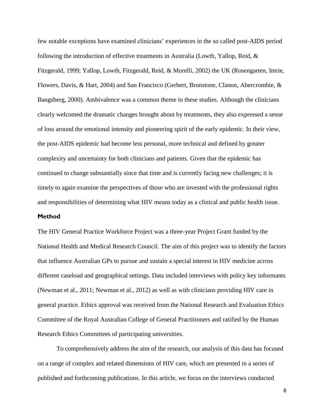few notable exceptions have examined clinicians' experiences in the so called post-AIDS period following the introduction of effective treatments in Australia (Lowth, Yallop, Reid, & Fitzgerald, 1999; Yallop, Lowth, Fitzgerald, Reid, & Morelli, 2002) the UK (Rosengarten, Imrie, Flowers, Davis, & Hart, 2004) and San Francisco (Gerbert, Bronstone, Clanon, Abercrombie, & Bangsberg, 2000). Ambivalence was a common theme in these studies. Although the clinicians clearly welcomed the dramatic changes brought about by treatments, they also expressed a sense of loss around the emotional intensity and pioneering spirit of the early epidemic. In their view, the post-AIDS epidemic had become less personal, more technical and defined by greater complexity and uncertainty for both clinicians and patients. Given that the epidemic has continued to change substantially since that time and is currently facing new challenges; it is timely to again examine the perspectives of those who are invested with the professional rights and responsibilities of determining what HIV means today as a clinical and public health issue. **Method**

The HIV General Practice Workforce Project was a three-year Project Grant funded by the National Health and Medical Research Council. The aim of this project was to identify the factors that influence Australian GPs to pursue and sustain a special interest in HIV medicine across different caseload and geographical settings. Data included interviews with policy key informants (Newman et al., 2011; Newman et al., 2012) as well as with clinicians providing HIV care in general practice. Ethics approval was received from the National Research and Evaluation Ethics Committee of the Royal Australian College of General Practitioners and ratified by the Human Research Ethics Committees of participating universities.

To comprehensively address the aim of the research, our analysis of this data has focused on a range of complex and related dimensions of HIV care, which are presented in a series of published and forthcoming publications. In this article, we focus on the interviews conducted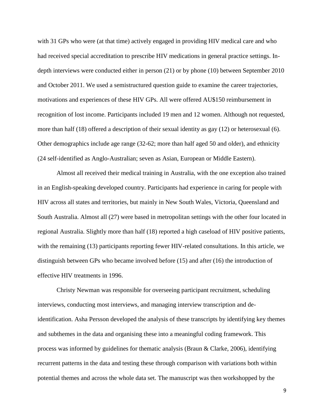with 31 GPs who were (at that time) actively engaged in providing HIV medical care and who had received special accreditation to prescribe HIV medications in general practice settings. Indepth interviews were conducted either in person (21) or by phone (10) between September 2010 and October 2011. We used a semistructured question guide to examine the career trajectories, motivations and experiences of these HIV GPs. All were offered AU\$150 reimbursement in recognition of lost income. Participants included 19 men and 12 women. Although not requested, more than half (18) offered a description of their sexual identity as gay (12) or heterosexual (6). Other demographics include age range (32-62; more than half aged 50 and older), and ethnicity (24 self-identified as Anglo-Australian; seven as Asian, European or Middle Eastern).

Almost all received their medical training in Australia, with the one exception also trained in an English-speaking developed country. Participants had experience in caring for people with HIV across all states and territories, but mainly in New South Wales, Victoria, Queensland and South Australia. Almost all (27) were based in metropolitan settings with the other four located in regional Australia. Slightly more than half (18) reported a high caseload of HIV positive patients, with the remaining (13) participants reporting fewer HIV-related consultations. In this article, we distinguish between GPs who became involved before (15) and after (16) the introduction of effective HIV treatments in 1996.

Christy Newman was responsible for overseeing participant recruitment, scheduling interviews, conducting most interviews, and managing interview transcription and deidentification. Asha Persson developed the analysis of these transcripts by identifying key themes and subthemes in the data and organising these into a meaningful coding framework. This process was informed by guidelines for thematic analysis (Braun & Clarke, 2006), identifying recurrent patterns in the data and testing these through comparison with variations both within potential themes and across the whole data set. The manuscript was then workshopped by the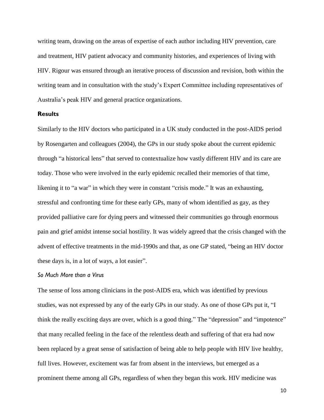writing team, drawing on the areas of expertise of each author including HIV prevention, care and treatment, HIV patient advocacy and community histories, and experiences of living with HIV. Rigour was ensured through an iterative process of discussion and revision, both within the writing team and in consultation with the study's Expert Committee including representatives of Australia's peak HIV and general practice organizations.

### **Results**

Similarly to the HIV doctors who participated in a UK study conducted in the post-AIDS period by Rosengarten and colleagues (2004), the GPs in our study spoke about the current epidemic through "a historical lens" that served to contextualize how vastly different HIV and its care are today. Those who were involved in the early epidemic recalled their memories of that time, likening it to "a war" in which they were in constant "crisis mode." It was an exhausting, stressful and confronting time for these early GPs, many of whom identified as gay, as they provided palliative care for dying peers and witnessed their communities go through enormous pain and grief amidst intense social hostility. It was widely agreed that the crisis changed with the advent of effective treatments in the mid-1990s and that, as one GP stated, "being an HIV doctor these days is, in a lot of ways, a lot easier".

#### *So Much More than a Virus*

The sense of loss among clinicians in the post-AIDS era, which was identified by previous studies, was not expressed by any of the early GPs in our study. As one of those GPs put it, "I think the really exciting days are over, which is a good thing." The "depression" and "impotence" that many recalled feeling in the face of the relentless death and suffering of that era had now been replaced by a great sense of satisfaction of being able to help people with HIV live healthy, full lives. However, excitement was far from absent in the interviews, but emerged as a prominent theme among all GPs, regardless of when they began this work. HIV medicine was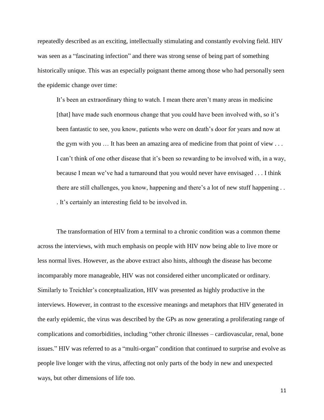repeatedly described as an exciting, intellectually stimulating and constantly evolving field. HIV was seen as a "fascinating infection" and there was strong sense of being part of something historically unique. This was an especially poignant theme among those who had personally seen the epidemic change over time:

It's been an extraordinary thing to watch. I mean there aren't many areas in medicine [that] have made such enormous change that you could have been involved with, so it's been fantastic to see, you know, patients who were on death's door for years and now at the gym with you … It has been an amazing area of medicine from that point of view . . . I can't think of one other disease that it's been so rewarding to be involved with, in a way, because I mean we've had a turnaround that you would never have envisaged . . . I think there are still challenges, you know, happening and there's a lot of new stuff happening . . . It's certainly an interesting field to be involved in.

The transformation of HIV from a terminal to a chronic condition was a common theme across the interviews, with much emphasis on people with HIV now being able to live more or less normal lives. However, as the above extract also hints, although the disease has become incomparably more manageable, HIV was not considered either uncomplicated or ordinary. Similarly to Treichler's conceptualization, HIV was presented as highly productive in the interviews. However, in contrast to the excessive meanings and metaphors that HIV generated in the early epidemic, the virus was described by the GPs as now generating a proliferating range of complications and comorbidities, including "other chronic illnesses – cardiovascular, renal, bone issues." HIV was referred to as a "multi-organ" condition that continued to surprise and evolve as people live longer with the virus, affecting not only parts of the body in new and unexpected ways, but other dimensions of life too.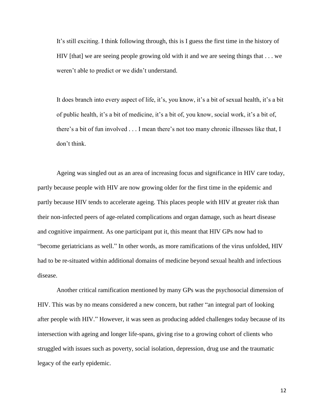It's still exciting. I think following through, this is I guess the first time in the history of HIV [that] we are seeing people growing old with it and we are seeing things that  $\dots$  we weren't able to predict or we didn't understand.

It does branch into every aspect of life, it's, you know, it's a bit of sexual health, it's a bit of public health, it's a bit of medicine, it's a bit of, you know, social work, it's a bit of, there's a bit of fun involved . . . I mean there's not too many chronic illnesses like that, I don't think.

Ageing was singled out as an area of increasing focus and significance in HIV care today, partly because people with HIV are now growing older for the first time in the epidemic and partly because HIV tends to accelerate ageing. This places people with HIV at greater risk than their non-infected peers of age-related complications and organ damage, such as heart disease and cognitive impairment. As one participant put it, this meant that HIV GPs now had to "become geriatricians as well." In other words, as more ramifications of the virus unfolded, HIV had to be re-situated within additional domains of medicine beyond sexual health and infectious disease.

Another critical ramification mentioned by many GPs was the psychosocial dimension of HIV. This was by no means considered a new concern, but rather "an integral part of looking after people with HIV." However, it was seen as producing added challenges today because of its intersection with ageing and longer life-spans, giving rise to a growing cohort of clients who struggled with issues such as poverty, social isolation, depression, drug use and the traumatic legacy of the early epidemic.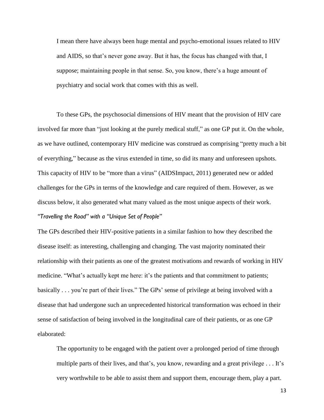I mean there have always been huge mental and psycho-emotional issues related to HIV and AIDS, so that's never gone away. But it has, the focus has changed with that, I suppose; maintaining people in that sense. So, you know, there's a huge amount of psychiatry and social work that comes with this as well.

To these GPs, the psychosocial dimensions of HIV meant that the provision of HIV care involved far more than "just looking at the purely medical stuff," as one GP put it. On the whole, as we have outlined, contemporary HIV medicine was construed as comprising "pretty much a bit of everything," because as the virus extended in time, so did its many and unforeseen upshots. This capacity of HIV to be "more than a virus" (AIDSImpact, 2011) generated new or added challenges for the GPs in terms of the knowledge and care required of them. However, as we discuss below, it also generated what many valued as the most unique aspects of their work. *"Travelling the Road" with a "Unique Set of People"*

The GPs described their HIV-positive patients in a similar fashion to how they described the disease itself: as interesting, challenging and changing. The vast majority nominated their relationship with their patients as one of the greatest motivations and rewards of working in HIV medicine. "What's actually kept me here: it's the patients and that commitment to patients; basically . . . you're part of their lives." The GPs' sense of privilege at being involved with a disease that had undergone such an unprecedented historical transformation was echoed in their sense of satisfaction of being involved in the longitudinal care of their patients, or as one GP elaborated:

The opportunity to be engaged with the patient over a prolonged period of time through multiple parts of their lives, and that's, you know, rewarding and a great privilege . . . It's very worthwhile to be able to assist them and support them, encourage them, play a part.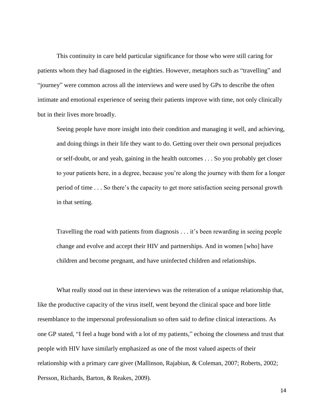This continuity in care held particular significance for those who were still caring for patients whom they had diagnosed in the eighties. However, metaphors such as "travelling" and "journey" were common across all the interviews and were used by GPs to describe the often intimate and emotional experience of seeing their patients improve with time, not only clinically but in their lives more broadly.

Seeing people have more insight into their condition and managing it well, and achieving, and doing things in their life they want to do. Getting over their own personal prejudices or self-doubt, or and yeah, gaining in the health outcomes . . . So you probably get closer to your patients here, in a degree, because you're along the journey with them for a longer period of time . . . So there's the capacity to get more satisfaction seeing personal growth in that setting.

Travelling the road with patients from diagnosis . . . it's been rewarding in seeing people change and evolve and accept their HIV and partnerships. And in women [who] have children and become pregnant, and have uninfected children and relationships.

What really stood out in these interviews was the reiteration of a unique relationship that, like the productive capacity of the virus itself, went beyond the clinical space and bore little resemblance to the impersonal professionalism so often said to define clinical interactions. As one GP stated, "I feel a huge bond with a lot of my patients," echoing the closeness and trust that people with HIV have similarly emphasized as one of the most valued aspects of their relationship with a primary care giver (Mallinson, Rajabiun, & Coleman, 2007; Roberts, 2002; Persson, Richards, Barton, & Reakes, 2009).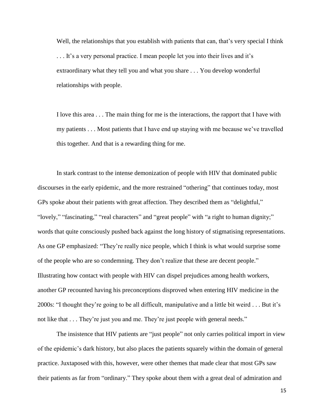Well, the relationships that you establish with patients that can, that's very special I think . . . It's a very personal practice. I mean people let you into their lives and it's extraordinary what they tell you and what you share . . . You develop wonderful relationships with people.

I love this area . . . The main thing for me is the interactions, the rapport that I have with my patients . . . Most patients that I have end up staying with me because we've travelled this together. And that is a rewarding thing for me.

In stark contrast to the intense demonization of people with HIV that dominated public discourses in the early epidemic, and the more restrained "othering" that continues today, most GPs spoke about their patients with great affection. They described them as "delightful," "lovely," "fascinating," "real characters" and "great people" with "a right to human dignity;" words that quite consciously pushed back against the long history of stigmatising representations. As one GP emphasized: "They're really nice people, which I think is what would surprise some of the people who are so condemning. They don't realize that these are decent people." Illustrating how contact with people with HIV can dispel prejudices among health workers, another GP recounted having his preconceptions disproved when entering HIV medicine in the 2000s: "I thought they're going to be all difficult, manipulative and a little bit weird . . . But it's not like that . . . They're just you and me. They're just people with general needs."

The insistence that HIV patients are "just people" not only carries political import in view of the epidemic's dark history, but also places the patients squarely within the domain of general practice. Juxtaposed with this, however, were other themes that made clear that most GPs saw their patients as far from "ordinary." They spoke about them with a great deal of admiration and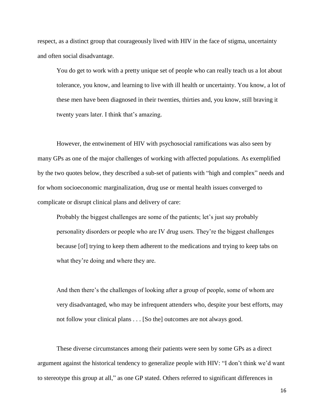respect, as a distinct group that courageously lived with HIV in the face of stigma, uncertainty and often social disadvantage.

You do get to work with a pretty unique set of people who can really teach us a lot about tolerance, you know, and learning to live with ill health or uncertainty. You know, a lot of these men have been diagnosed in their twenties, thirties and, you know, still braving it twenty years later. I think that's amazing.

However, the entwinement of HIV with psychosocial ramifications was also seen by many GPs as one of the major challenges of working with affected populations. As exemplified by the two quotes below, they described a sub-set of patients with "high and complex" needs and for whom socioeconomic marginalization, drug use or mental health issues converged to complicate or disrupt clinical plans and delivery of care:

Probably the biggest challenges are some of the patients; let's just say probably personality disorders or people who are IV drug users. They're the biggest challenges because [of] trying to keep them adherent to the medications and trying to keep tabs on what they're doing and where they are.

And then there's the challenges of looking after a group of people, some of whom are very disadvantaged, who may be infrequent attenders who, despite your best efforts, may not follow your clinical plans . . . [So the] outcomes are not always good.

These diverse circumstances among their patients were seen by some GPs as a direct argument against the historical tendency to generalize people with HIV: "I don't think we'd want to stereotype this group at all," as one GP stated. Others referred to significant differences in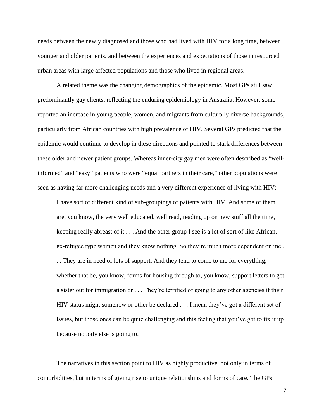needs between the newly diagnosed and those who had lived with HIV for a long time, between younger and older patients, and between the experiences and expectations of those in resourced urban areas with large affected populations and those who lived in regional areas.

A related theme was the changing demographics of the epidemic. Most GPs still saw predominantly gay clients, reflecting the enduring epidemiology in Australia. However, some reported an increase in young people, women, and migrants from culturally diverse backgrounds, particularly from African countries with high prevalence of HIV. Several GPs predicted that the epidemic would continue to develop in these directions and pointed to stark differences between these older and newer patient groups. Whereas inner-city gay men were often described as "wellinformed" and "easy" patients who were "equal partners in their care," other populations were seen as having far more challenging needs and a very different experience of living with HIV:

I have sort of different kind of sub-groupings of patients with HIV. And some of them are, you know, the very well educated, well read, reading up on new stuff all the time, keeping really abreast of it . . . And the other group I see is a lot of sort of like African, ex-refugee type women and they know nothing. So they're much more dependent on me . . . They are in need of lots of support. And they tend to come to me for everything, whether that be, you know, forms for housing through to, you know, support letters to get a sister out for immigration or . . . They're terrified of going to any other agencies if their HIV status might somehow or other be declared . . . I mean they've got a different set of issues, but those ones can be quite challenging and this feeling that you've got to fix it up because nobody else is going to.

The narratives in this section point to HIV as highly productive, not only in terms of comorbidities, but in terms of giving rise to unique relationships and forms of care. The GPs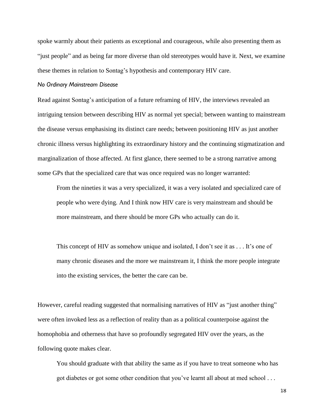spoke warmly about their patients as exceptional and courageous, while also presenting them as "just people" and as being far more diverse than old stereotypes would have it. Next, we examine these themes in relation to Sontag's hypothesis and contemporary HIV care.

#### *No Ordinary Mainstream Disease*

Read against Sontag's anticipation of a future reframing of HIV, the interviews revealed an intriguing tension between describing HIV as normal yet special; between wanting to mainstream the disease versus emphasising its distinct care needs; between positioning HIV as just another chronic illness versus highlighting its extraordinary history and the continuing stigmatization and marginalization of those affected. At first glance, there seemed to be a strong narrative among some GPs that the specialized care that was once required was no longer warranted:

From the nineties it was a very specialized, it was a very isolated and specialized care of people who were dying. And I think now HIV care is very mainstream and should be more mainstream, and there should be more GPs who actually can do it.

This concept of HIV as somehow unique and isolated, I don't see it as . . . It's one of many chronic diseases and the more we mainstream it, I think the more people integrate into the existing services, the better the care can be.

However, careful reading suggested that normalising narratives of HIV as "just another thing" were often invoked less as a reflection of reality than as a political counterpoise against the homophobia and otherness that have so profoundly segregated HIV over the years, as the following quote makes clear.

You should graduate with that ability the same as if you have to treat someone who has got diabetes or got some other condition that you've learnt all about at med school . . .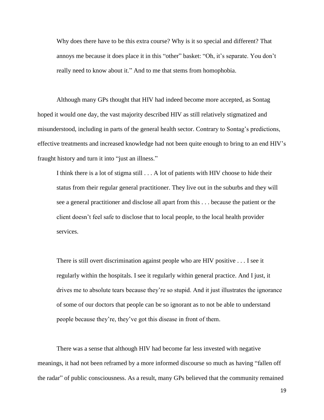Why does there have to be this extra course? Why is it so special and different? That annoys me because it does place it in this "other" basket: "Oh, it's separate. You don't really need to know about it." And to me that stems from homophobia.

Although many GPs thought that HIV had indeed become more accepted, as Sontag hoped it would one day, the vast majority described HIV as still relatively stigmatized and misunderstood, including in parts of the general health sector. Contrary to Sontag's predictions, effective treatments and increased knowledge had not been quite enough to bring to an end HIV's fraught history and turn it into "just an illness."

I think there is a lot of stigma still . . . A lot of patients with HIV choose to hide their status from their regular general practitioner. They live out in the suburbs and they will see a general practitioner and disclose all apart from this . . . because the patient or the client doesn't feel safe to disclose that to local people, to the local health provider services.

There is still overt discrimination against people who are HIV positive . . . I see it regularly within the hospitals. I see it regularly within general practice. And I just, it drives me to absolute tears because they're so stupid. And it just illustrates the ignorance of some of our doctors that people can be so ignorant as to not be able to understand people because they're, they've got this disease in front of them.

There was a sense that although HIV had become far less invested with negative meanings, it had not been reframed by a more informed discourse so much as having "fallen off the radar" of public consciousness. As a result, many GPs believed that the community remained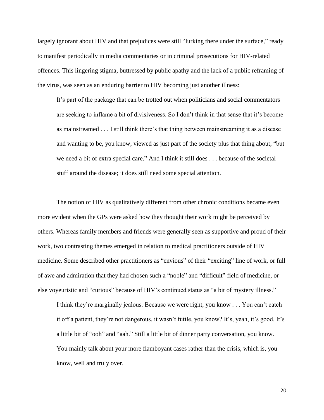largely ignorant about HIV and that prejudices were still "lurking there under the surface," ready to manifest periodically in media commentaries or in criminal prosecutions for HIV-related offences. This lingering stigma, buttressed by public apathy and the lack of a public reframing of the virus, was seen as an enduring barrier to HIV becoming just another illness:

It's part of the package that can be trotted out when politicians and social commentators are seeking to inflame a bit of divisiveness. So I don't think in that sense that it's become as mainstreamed . . . I still think there's that thing between mainstreaming it as a disease and wanting to be, you know, viewed as just part of the society plus that thing about, "but we need a bit of extra special care." And I think it still does . . . because of the societal stuff around the disease; it does still need some special attention.

The notion of HIV as qualitatively different from other chronic conditions became even more evident when the GPs were asked how they thought their work might be perceived by others. Whereas family members and friends were generally seen as supportive and proud of their work, two contrasting themes emerged in relation to medical practitioners outside of HIV medicine. Some described other practitioners as "envious" of their "exciting" line of work, or full of awe and admiration that they had chosen such a "noble" and "difficult" field of medicine, or else voyeuristic and "curious" because of HIV's continued status as "a bit of mystery illness."

I think they're marginally jealous. Because we were right, you know . . . You can't catch it off a patient, they're not dangerous, it wasn't futile, you know? It's, yeah, it's good. It's a little bit of "ooh" and "aah." Still a little bit of dinner party conversation, you know. You mainly talk about your more flamboyant cases rather than the crisis, which is, you know, well and truly over.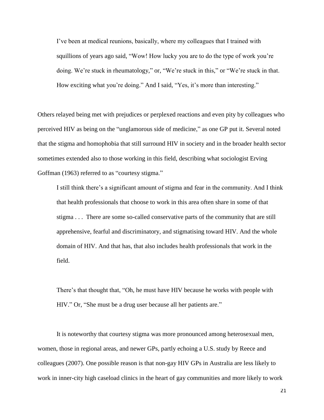I've been at medical reunions, basically, where my colleagues that I trained with squillions of years ago said, "Wow! How lucky you are to do the type of work you're doing. We're stuck in rheumatology," or, "We're stuck in this," or "We're stuck in that. How exciting what you're doing." And I said, "Yes, it's more than interesting."

Others relayed being met with prejudices or perplexed reactions and even pity by colleagues who perceived HIV as being on the "unglamorous side of medicine," as one GP put it. Several noted that the stigma and homophobia that still surround HIV in society and in the broader health sector sometimes extended also to those working in this field, describing what sociologist Erving Goffman (1963) referred to as "courtesy stigma."

I still think there's a significant amount of stigma and fear in the community. And I think that health professionals that choose to work in this area often share in some of that stigma . . . There are some so-called conservative parts of the community that are still apprehensive, fearful and discriminatory, and stigmatising toward HIV. And the whole domain of HIV. And that has, that also includes health professionals that work in the field.

There's that thought that, "Oh, he must have HIV because he works with people with HIV." Or, "She must be a drug user because all her patients are."

It is noteworthy that courtesy stigma was more pronounced among heterosexual men, women, those in regional areas, and newer GPs, partly echoing a U.S. study by Reece and colleagues (2007). One possible reason is that non-gay HIV GPs in Australia are less likely to work in inner-city high caseload clinics in the heart of gay communities and more likely to work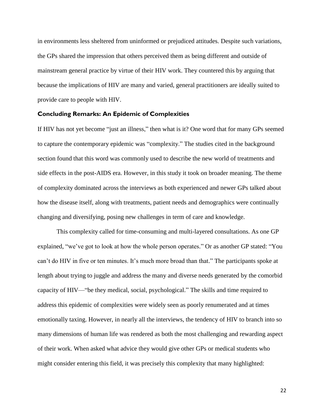in environments less sheltered from uninformed or prejudiced attitudes. Despite such variations, the GPs shared the impression that others perceived them as being different and outside of mainstream general practice by virtue of their HIV work. They countered this by arguing that because the implications of HIV are many and varied, general practitioners are ideally suited to provide care to people with HIV.

#### **Concluding Remarks: An Epidemic of Complexities**

If HIV has not yet become "just an illness," then what is it? One word that for many GPs seemed to capture the contemporary epidemic was "complexity." The studies cited in the background section found that this word was commonly used to describe the new world of treatments and side effects in the post-AIDS era. However, in this study it took on broader meaning. The theme of complexity dominated across the interviews as both experienced and newer GPs talked about how the disease itself, along with treatments, patient needs and demographics were continually changing and diversifying, posing new challenges in term of care and knowledge.

This complexity called for time-consuming and multi-layered consultations. As one GP explained, "we've got to look at how the whole person operates." Or as another GP stated: "You can't do HIV in five or ten minutes. It's much more broad than that." The participants spoke at length about trying to juggle and address the many and diverse needs generated by the comorbid capacity of HIV—"be they medical, social, psychological." The skills and time required to address this epidemic of complexities were widely seen as poorly renumerated and at times emotionally taxing. However, in nearly all the interviews, the tendency of HIV to branch into so many dimensions of human life was rendered as both the most challenging and rewarding aspect of their work. When asked what advice they would give other GPs or medical students who might consider entering this field, it was precisely this complexity that many highlighted: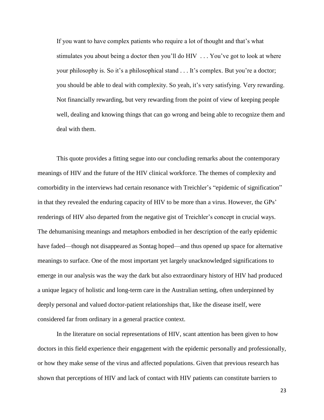If you want to have complex patients who require a lot of thought and that's what stimulates you about being a doctor then you'll do HIV . . . You've got to look at where your philosophy is. So it's a philosophical stand . . . It's complex. But you're a doctor; you should be able to deal with complexity. So yeah, it's very satisfying. Very rewarding. Not financially rewarding, but very rewarding from the point of view of keeping people well, dealing and knowing things that can go wrong and being able to recognize them and deal with them.

This quote provides a fitting segue into our concluding remarks about the contemporary meanings of HIV and the future of the HIV clinical workforce. The themes of complexity and comorbidity in the interviews had certain resonance with Treichler's "epidemic of signification" in that they revealed the enduring capacity of HIV to be more than a virus. However, the GPs' renderings of HIV also departed from the negative gist of Treichler's concept in crucial ways. The dehumanising meanings and metaphors embodied in her description of the early epidemic have faded—though not disappeared as Sontag hoped—and thus opened up space for alternative meanings to surface. One of the most important yet largely unacknowledged significations to emerge in our analysis was the way the dark but also extraordinary history of HIV had produced a unique legacy of holistic and long-term care in the Australian setting, often underpinned by deeply personal and valued doctor-patient relationships that, like the disease itself, were considered far from ordinary in a general practice context.

In the literature on social representations of HIV, scant attention has been given to how doctors in this field experience their engagement with the epidemic personally and professionally, or how they make sense of the virus and affected populations. Given that previous research has shown that perceptions of HIV and lack of contact with HIV patients can constitute barriers to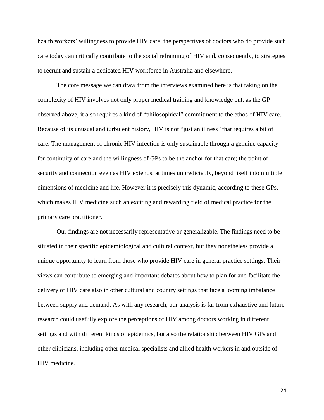health workers' willingness to provide HIV care, the perspectives of doctors who do provide such care today can critically contribute to the social reframing of HIV and, consequently, to strategies to recruit and sustain a dedicated HIV workforce in Australia and elsewhere.

The core message we can draw from the interviews examined here is that taking on the complexity of HIV involves not only proper medical training and knowledge but, as the GP observed above, it also requires a kind of "philosophical" commitment to the ethos of HIV care. Because of its unusual and turbulent history, HIV is not "just an illness" that requires a bit of care. The management of chronic HIV infection is only sustainable through a genuine capacity for continuity of care and the willingness of GPs to be the anchor for that care; the point of security and connection even as HIV extends, at times unpredictably, beyond itself into multiple dimensions of medicine and life. However it is precisely this dynamic, according to these GPs, which makes HIV medicine such an exciting and rewarding field of medical practice for the primary care practitioner.

Our findings are not necessarily representative or generalizable. The findings need to be situated in their specific epidemiological and cultural context, but they nonetheless provide a unique opportunity to learn from those who provide HIV care in general practice settings. Their views can contribute to emerging and important debates about how to plan for and facilitate the delivery of HIV care also in other cultural and country settings that face a looming imbalance between supply and demand. As with any research, our analysis is far from exhaustive and future research could usefully explore the perceptions of HIV among doctors working in different settings and with different kinds of epidemics, but also the relationship between HIV GPs and other clinicians, including other medical specialists and allied health workers in and outside of HIV medicine.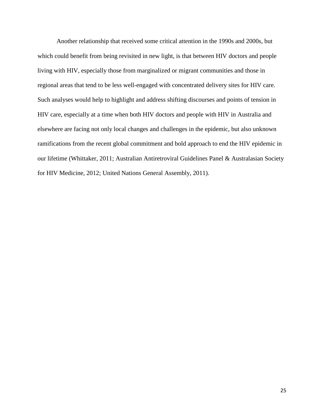Another relationship that received some critical attention in the 1990s and 2000s, but which could benefit from being revisited in new light, is that between HIV doctors and people living with HIV, especially those from marginalized or migrant communities and those in regional areas that tend to be less well-engaged with concentrated delivery sites for HIV care. Such analyses would help to highlight and address shifting discourses and points of tension in HIV care, especially at a time when both HIV doctors and people with HIV in Australia and elsewhere are facing not only local changes and challenges in the epidemic, but also unknown ramifications from the recent global commitment and bold approach to end the HIV epidemic in our lifetime (Whittaker, 2011; Australian Antiretroviral Guidelines Panel & Australasian Society for HIV Medicine, 2012; United Nations General Assembly, 2011).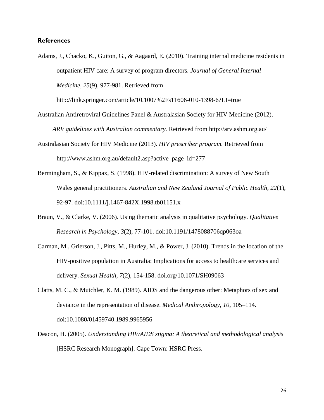### **References**

Adams, J., Chacko, K., Guiton, G., & Aagaard, E. (2010). Training internal medicine residents in outpatient HIV care: A survey of program directors. *Journal of General Internal Medicine, 25*(9), 977-981. Retrieved from

http://link.springer.com/article/10.1007%2Fs11606-010-1398-6?LI=true

Australian Antiretroviral Guidelines Panel & Australasian Society for HIV Medicine (2012).

*ARV guidelines with Australian commentary.* Retrieved from<http://arv.ashm.org.au/>

- Australasian Society for HIV Medicine (2013). *HIV prescriber program.* Retrieved from [http://www.ashm.org.au/default2.asp?active\\_page\\_id=277](http://www.ashm.org.au/default2.asp?active_page_id=277)
- Bermingham, S., & Kippax, S. (1998). HIV-related discrimination: A survey of New South Wales general practitioners. *Australian and New Zealand Journal of Public Health, 22*(1), 92-97. doi:10.1111/j.1467-842X.1998.tb01151.x
- Braun, V., & Clarke, V. (2006). Using thematic analysis in qualitative psychology. *Qualitative Research in Psychology, 3*(2), 77-101. doi:10.1191/1478088706qp063oa
- Carman, M., Grierson, J., Pitts, M., Hurley, M., & Power, J. (2010). Trends in the location of the HIV-positive population in Australia: Implications for access to healthcare services and delivery. *Sexual Health, 7*(2), 154-158. doi.org/10.1071/SH09063
- Clatts, M. C., & Mutchler, K. M. (1989). AIDS and the dangerous other: Metaphors of sex and deviance in the representation of disease. *Medical Anthropology, 10,* 105–114. doi:10.1080/01459740.1989.9965956
- Deacon, H. (2005). *Understanding HIV/AIDS stigma: A theoretical and methodological analysis*  [HSRC Research Monograph]. Cape Town: HSRC Press.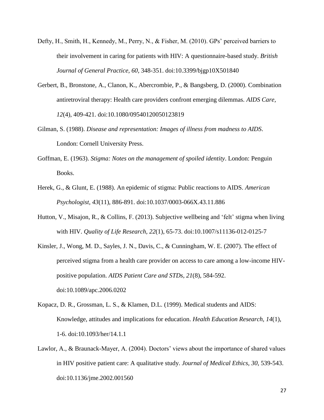- Defty, H., Smith, H., Kennedy, M., Perry, N., & Fisher, M. (2010). GPs' perceived barriers to their involvement in caring for patients with HIV: A questionnaire-based study. *British Journal of General Practice, 60,* 348-351. doi[:10.3399/bjgp10X501840](http://dx.crossref.org/10.3399%2Fbjgp10X501840)
- Gerbert, [B.](http://search.proquest.com/docview.lateralsearchlink:lateralsearch/sng/author/Gerbert,+B/$N?t:ac=17583403&t:cp=maintain/resultcitationblocks), [Bronstone, A.](http://search.proquest.com/docview.lateralsearchlink:lateralsearch/sng/author/Bronstone,+A/$N?t:ac=17583403&t:cp=maintain/resultcitationblocks), [Clanon, K.](http://search.proquest.com/docview.lateralsearchlink:lateralsearch/sng/author/Clanon,+K/$N?t:ac=17583403&t:cp=maintain/resultcitationblocks), [Abercrombie, P.](http://search.proquest.com/docview.lateralsearchlink:lateralsearch/sng/author/Abercrombie,+P/$N?t:ac=17583403&t:cp=maintain/resultcitationblocks), & [Bangsberg, D.](http://search.proquest.com/docview.lateralsearchlink:lateralsearch/sng/author/Bangsberg,+D/$N?t:ac=17583403&t:cp=maintain/resultcitationblocks) (2000). Combination antiretroviral therapy: Health care providers confront emerging dilemmas. *AIDS Care, 12*(4), 409-421. doi:10.1080/09540120050123819
- Gilman, S. (1988). *Disease and representation: Images of illness from madness to AIDS*. London: Cornell University Press.
- Goffman, E. (1963). *Stigma: Notes on the management of spoiled identity*. London: Penguin Books.
- Herek, G., & Glunt, E. (1988). An epidemic of stigma: Public reactions to AIDS. *American Psychologist, 43*(11), 886-891. doi[:10.1037/0003-066X.43.11.886](http://psycnet.apa.org/doi/10.1037/0003-066X.43.11.886)
- Hutton, V., Misajon, R., & Collins, F. (2013). Subjective wellbeing and 'felt' stigma when living with HIV. *Quality of Life Research, 22*(1), 65-73. doi:10.1007/s11136-012-0125-7
- Kinsler, J., Wong, M. D., Sayles, J. N., Davis, C., & Cunningham, W. E. (2007). The effect of perceived stigma from a health care provider on access to care among a low-income HIVpositive population. *AIDS Patient Care and STDs, 21*(8), 584-592. doi:10.1089/apc.2006.0202
- Kopacz, D. R., Grossman, L. S., & Klamen, D.L. (1999). Medical students and AIDS: Knowledge, attitudes and implications for education. *Health Education Research, 14*(1), 1-6. doi:10.1093/her/14.1.1
- Lawlor, A., & Braunack-Mayer, A. (2004). Doctors' views about the importance of shared values in HIV positive patient care: A qualitative study. *Journal of Medical Ethics, 30,* 539-543. doi:10.1136/jme.2002.001560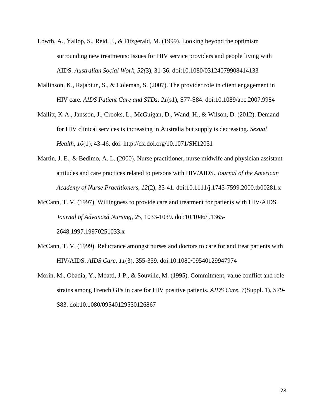- Lowth, A., Yallop, S., Reid, J., & Fitzgerald, M. (1999). Looking beyond the optimism surrounding new treatments: Issues for HIV service providers and people living with AIDS. *Australian Social Work, 52(*3), 31-36. doi:10.1080/03124079908414133
- Mallinson, K., Rajabiun, S., & Coleman, S. (2007). The provider role in client engagement in HIV care. *AIDS Patient Care and STDs, 21*(s1), S77-S84. doi:10.1089/apc.2007.9984
- Mallitt, K-A., Jansson, J., Crooks, L., McGuigan, D., Wand, H., & Wilson, D. (2012). Demand for HIV clinical services is increasing in Australia but supply is decreasing. *Sexual Health, 10*(1), 43-46. doi: [http://dx.doi.org/10.1071/SH12051](https://mail.unsw.edu.au/owa/redir.aspx?C=Uf_h1xZi_E6drmNxi_YoBUSVr7ol2c8IyUogrMwtynVH32GvMOOdFkNyQ2PjyiGFcZTkEgO9pM0.&URL=http%3a%2f%2fdx.doi.org%2f10.1071%2fSH12051)
- Martin, J. E., & Bedimo, A. L. (2000). Nurse practitioner, nurse midwife and physician assistant attitudes and care practices related to persons with HIV/AIDS. *Journal of the American Academy of Nurse Practitioners, 12*(2), 35-41. doi:10.1111/j.1745-7599.2000.tb00281.x
- McCann, T. V. (1997). Willingness to provide care and treatment for patients with HIV/AIDS. *Journal of Advanced Nursing, 25,* 1033-1039. doi:10.1046/j.1365- 2648.1997.19970251033.x
- McCann, T. V. (1999). Reluctance amongst nurses and doctors to care for and treat patients with HIV/AIDS. *AIDS Care, 11*(3), 355-359. doi:10.1080/09540129947974
- Morin, M., Obadia, Y., Moatti, J-P., & Souville, M. (1995). Commitment, value conflict and role strains among French GPs in care for HIV positive patients. *AIDS Care, 7*(Suppl. 1), S79- S83. doi:10.1080/09540129550126867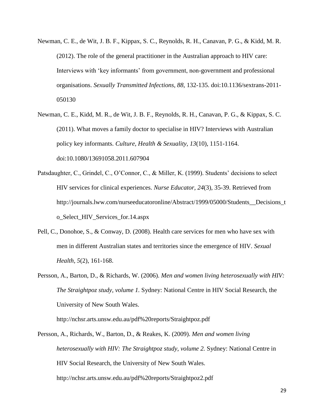- Newman, C. E., de Wit, J. B. F., Kippax, S. C., Reynolds, R. H., Canavan, P. G., & Kidd, M. R. (2012). The role of the general practitioner in the Australian approach to HIV care: Interviews with 'key informants' from government, non-government and professional organisations. *Sexually Transmitted Infections, 88,* 132-135. doi:10.1136/sextrans-2011- 050130
- Newman, C. E., Kidd, M. R., de Wit, J. B. F., Reynolds, R. H., Canavan, P. G., & Kippax, S. C. (2011). What moves a family doctor to specialise in HIV? Interviews with Australian policy key informants. *Culture, Health & Sexuality, 13*(10), 1151-1164. doi:10.1080/13691058.2011.607904
- Patsdaughter, C., Grindel, C., O'Connor, C., & Miller, K. (1999). Students' decisions to select HIV services for clinical experiences. *Nurse Educator, 24*(3), 35-39. Retrieved from http://journals.lww.com/nurseeducatoronline/Abstract/1999/05000/Students\_\_Decisions\_t o\_Select\_HIV\_Services\_for.14.aspx
- Pell, C., Donohoe, S., & Conway, D. (2008). Health care services for men who have sex with men in different Australian states and territories since the emergence of HIV. *Sexual Health, 5*(2), 161-168.
- Persson, A., Barton, D., & Richards, W. (2006). *Men and women living heterosexually with HIV: The Straightpoz study, volume 1.* Sydney: National Centre in HIV Social Research, the University of New South Wales.

http://nchsr.arts.unsw.edu.au/pdf%20reports/Straightpoz.pdf

Persson, A., Richards, W., Barton, D., & Reakes, K. (2009). *Men and women living heterosexually with HIV: The Straightpoz study, volume 2.* Sydney: National Centre in HIV Social Research, the University of New South Wales. http://nchsr.arts.unsw.edu.au/pdf%20reports/Straightpoz2.pdf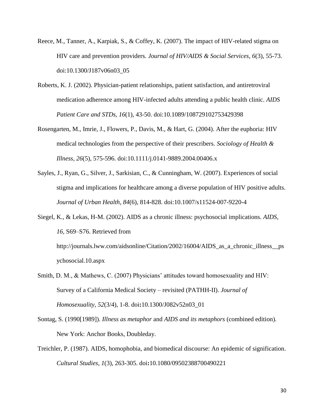- Reece, M., Tanner, A., Karpiak, S., & Coffey, K. (2007). The impact of HIV-related stigma on HIV care and prevention providers. *Journal of HIV/AIDS & Social Services, 6*(3), 55-73. doi:10.1300/J187v06n03\_05
- Roberts, K. J. (2002). Physician-patient relationships, patient satisfaction, and antiretroviral medication adherence among HIV-infected adults attending a public health clinic. *AIDS Patient Care and STDs*, *16*(1), 43-50. doi:10.1089/108729102753429398
- Rosengarten, M., Imrie, J., Flowers, P., Davis, M., & Hart, G. (2004). After the euphoria: HIV medical technologies from the perspective of their prescribers. *Sociology of Health & Illness, 26*(5), 575-596. doi:10.1111/j.0141-9889.2004.00406.x
- Sayles, J., Ryan, G., Silver, J., Sarkisian, C., & Cunningham, W. (2007). Experiences of social stigma and implications for healthcare among a diverse population of HIV positive adults. *Journal of Urban Health, 84*(6), 814-828. doi:10.1007/s11524-007-9220-4
- Siegel, K., & Lekas, H-M. (2002). AIDS as a chronic illness: psychosocial implications. *AIDS, 16,* S69–S76. Retrieved from http://journals.lww.com/aidsonline/Citation/2002/16004/AIDS\_as\_a\_chronic\_illness\_\_ps ychosocial.10.aspx
- Smith, D. M., & Mathews, C. (2007) Physicians' attitudes toward homosexuality and HIV: Survey of a California Medical Society – revisited (PATHH-II). *Journal of Homosexuality, 52*(3/4), 1-8. doi**:**10.1300/J082v52n03\_01
- Sontag, S. (1990[1989]). *Illness as metaphor* and *AIDS and its metaphors* (combined edition)*.* New York: Anchor Books, Doubleday.
- Treichler, P. (1987). AIDS, homophobia, and biomedical discourse: An epidemic of signification. *Cultural Studies, 1*(3), 263-305. doi**:**10.1080/09502388700490221